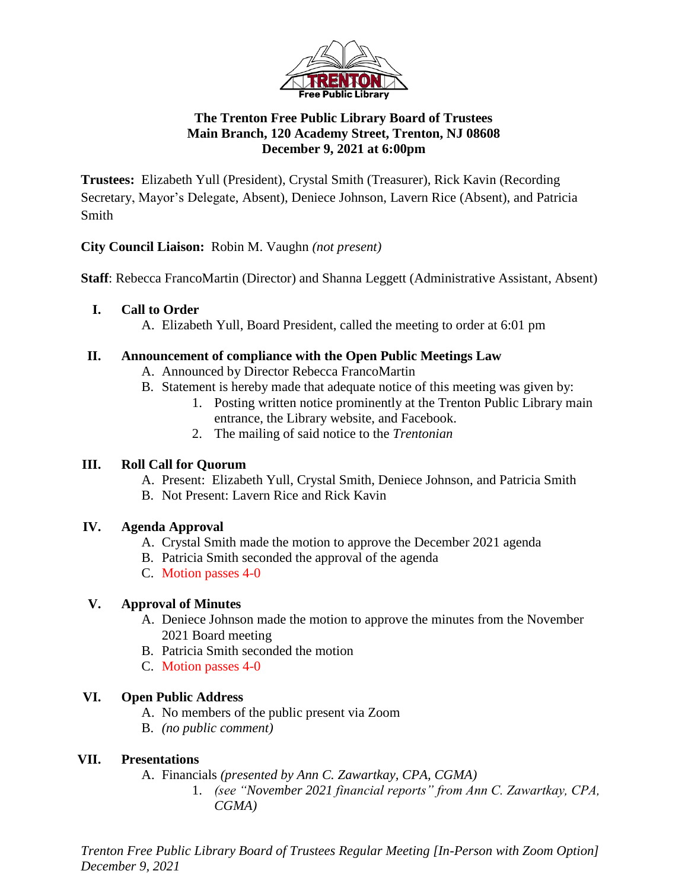

## **The Trenton Free Public Library Board of Trustees Main Branch, 120 Academy Street, Trenton, NJ 08608 December 9, 2021 at 6:00pm**

**Trustees:** Elizabeth Yull (President), Crystal Smith (Treasurer), Rick Kavin (Recording Secretary, Mayor's Delegate, Absent), Deniece Johnson, Lavern Rice (Absent), and Patricia Smith

**City Council Liaison:** Robin M. Vaughn *(not present)*

**Staff**: Rebecca FrancoMartin (Director) and Shanna Leggett (Administrative Assistant, Absent)

### **I. Call to Order**

A. Elizabeth Yull, Board President, called the meeting to order at 6:01 pm

### **II. Announcement of compliance with the Open Public Meetings Law**

- A. Announced by Director Rebecca FrancoMartin
- B. Statement is hereby made that adequate notice of this meeting was given by:
	- 1. Posting written notice prominently at the Trenton Public Library main entrance, the Library website, and Facebook.
	- 2. The mailing of said notice to the *Trentonian*

### **III. Roll Call for Quorum**

- A. Present: Elizabeth Yull, Crystal Smith, Deniece Johnson, and Patricia Smith
- B. Not Present: Lavern Rice and Rick Kavin

## **IV. Agenda Approval**

- A. Crystal Smith made the motion to approve the December 2021 agenda
- B. Patricia Smith seconded the approval of the agenda
- C. Motion passes 4-0

## **V. Approval of Minutes**

- A. Deniece Johnson made the motion to approve the minutes from the November 2021 Board meeting
- B. Patricia Smith seconded the motion
- C. Motion passes 4-0

## **VI. Open Public Address**

- A. No members of the public present via Zoom
- B. *(no public comment)*

## **VII. Presentations**

- A. Financials *(presented by Ann C. Zawartkay, CPA, CGMA)*
	- 1. *(see "November 2021 financial reports" from Ann C. Zawartkay, CPA, CGMA)*

*Trenton Free Public Library Board of Trustees Regular Meeting [In-Person with Zoom Option] December 9, 2021*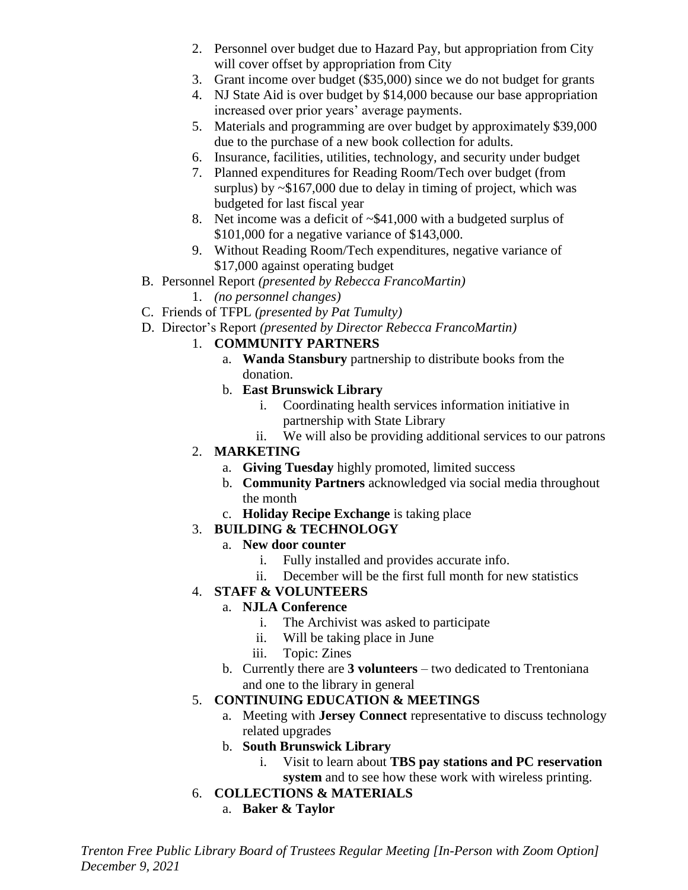- 2. Personnel over budget due to Hazard Pay, but appropriation from City will cover offset by appropriation from City
- 3. Grant income over budget (\$35,000) since we do not budget for grants
- 4. NJ State Aid is over budget by \$14,000 because our base appropriation increased over prior years' average payments.
- 5. Materials and programming are over budget by approximately \$39,000 due to the purchase of a new book collection for adults.
- 6. Insurance, facilities, utilities, technology, and security under budget
- 7. Planned expenditures for Reading Room/Tech over budget (from surplus) by ~\$167,000 due to delay in timing of project, which was budgeted for last fiscal year
- 8. Net income was a deficit of ~\$41,000 with a budgeted surplus of \$101,000 for a negative variance of \$143,000.
- 9. Without Reading Room/Tech expenditures, negative variance of \$17,000 against operating budget
- B. Personnel Report *(presented by Rebecca FrancoMartin)*
	- 1. *(no personnel changes)*
- C. Friends of TFPL *(presented by Pat Tumulty)*
- D. Director's Report *(presented by Director Rebecca FrancoMartin)*

# 1. **COMMUNITY PARTNERS**

- a. **Wanda Stansbury** partnership to distribute books from the donation.
- b. **East Brunswick Library**
	- i. Coordinating health services information initiative in partnership with State Library
	- ii. We will also be providing additional services to our patrons

# 2. **MARKETING**

- a. **Giving Tuesday** highly promoted, limited success
- b. **Community Partners** acknowledged via social media throughout the month
- c. **Holiday Recipe Exchange** is taking place

# 3. **BUILDING & TECHNOLOGY**

- a. **New door counter**
	- i. Fully installed and provides accurate info.
	- ii. December will be the first full month for new statistics
- 4. **STAFF & VOLUNTEERS**

# a. **NJLA Conference**

- i. The Archivist was asked to participate
- ii. Will be taking place in June
- iii. Topic: Zines
- b. Currently there are **3 volunteers** two dedicated to Trentoniana and one to the library in general

# 5. **CONTINUING EDUCATION & MEETINGS**

- a. Meeting with **Jersey Connect** representative to discuss technology related upgrades
- b. **South Brunswick Library**
	- i. Visit to learn about **TBS pay stations and PC reservation system** and to see how these work with wireless printing.

# 6. **COLLECTIONS & MATERIALS**

a. **Baker & Taylor**

*Trenton Free Public Library Board of Trustees Regular Meeting [In-Person with Zoom Option] December 9, 2021*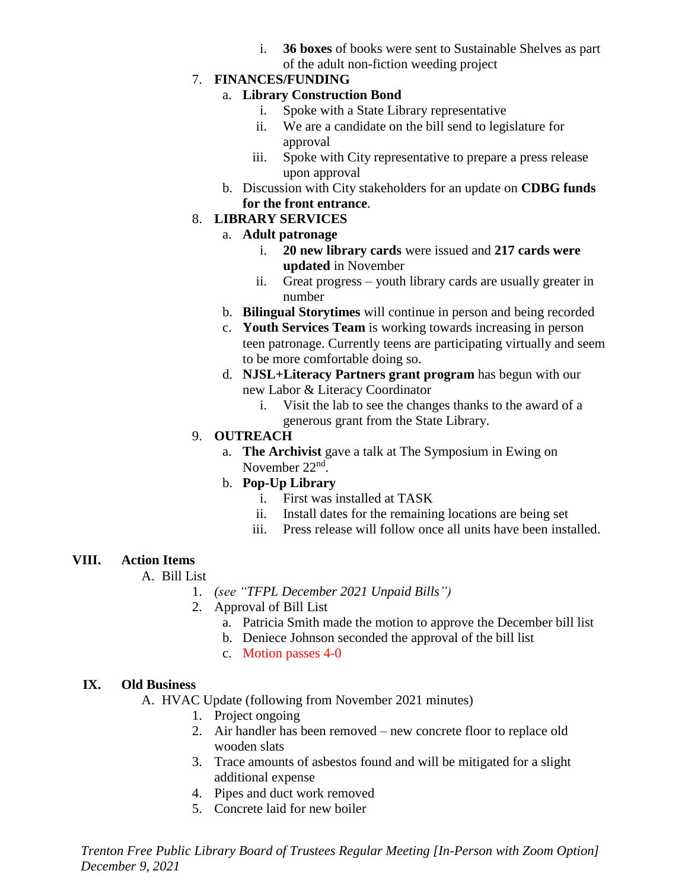i. **36 boxes** of books were sent to Sustainable Shelves as part of the adult non-fiction weeding project

### 7. **FINANCES/FUNDING**

### a. **Library Construction Bond**

- i. Spoke with a State Library representative
- ii. We are a candidate on the bill send to legislature for approval
- iii. Spoke with City representative to prepare a press release upon approval
- b. Discussion with City stakeholders for an update on **CDBG funds for the front entrance**.

#### 8. **LIBRARY SERVICES**

- a. **Adult patronage**
	- i. **20 new library cards** were issued and **217 cards were updated** in November
	- ii. Great progress youth library cards are usually greater in number
- b. **Bilingual Storytimes** will continue in person and being recorded
- c. **Youth Services Team** is working towards increasing in person teen patronage. Currently teens are participating virtually and seem to be more comfortable doing so.
- d. **NJSL+Literacy Partners grant program** has begun with our new Labor & Literacy Coordinator
	- i. Visit the lab to see the changes thanks to the award of a generous grant from the State Library.

## 9. **OUTREACH**

a. **The Archivist** gave a talk at The Symposium in Ewing on November 22<sup>nd</sup>.

### b. **Pop-Up Library**

- i. First was installed at TASK
- ii. Install dates for the remaining locations are being set
- iii. Press release will follow once all units have been installed.

## **VIII. Action Items**

A. Bill List

- 1. *(see "TFPL December 2021 Unpaid Bills")*
- 2. Approval of Bill List
	- a. Patricia Smith made the motion to approve the December bill list
	- b. Deniece Johnson seconded the approval of the bill list
	- c. Motion passes 4-0

### **IX. Old Business**

A. HVAC Update (following from November 2021 minutes)

- 1. Project ongoing
- 2. Air handler has been removed new concrete floor to replace old wooden slats
- 3. Trace amounts of asbestos found and will be mitigated for a slight additional expense
- 4. Pipes and duct work removed
- 5. Concrete laid for new boiler

*Trenton Free Public Library Board of Trustees Regular Meeting [In-Person with Zoom Option] December 9, 2021*